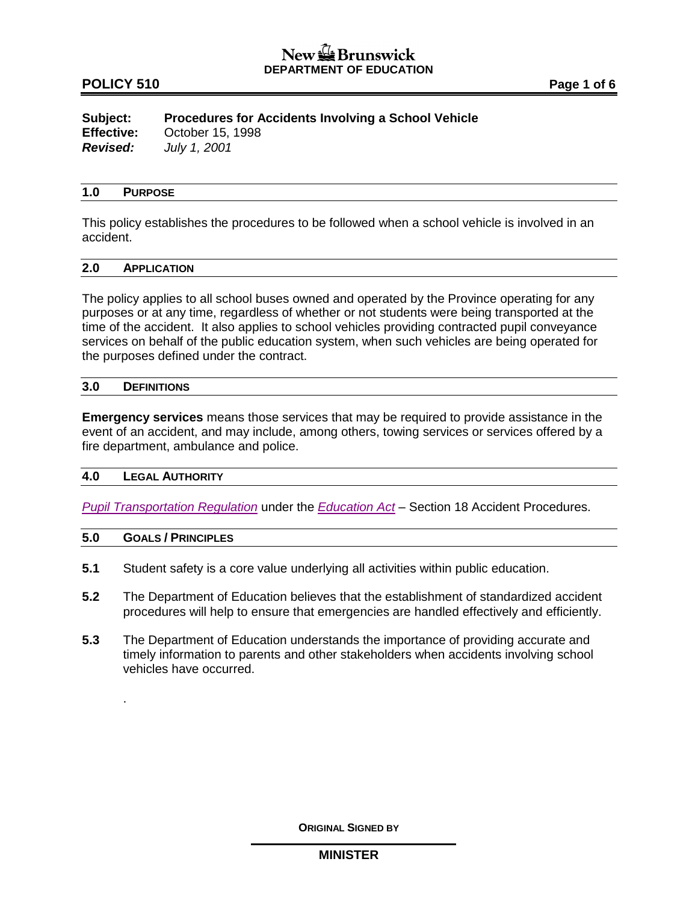## **POLICY 510 Page 1 of 6**

**Subject: Procedures for Accidents Involving a School Vehicle Effective:** October 15, 1998 *Revised: July 1, 2001*

#### **1.0 PURPOSE**

This policy establishes the procedures to be followed when a school vehicle is involved in an accident.

# **2.0 APPLICATION**

The policy applies to all school buses owned and operated by the Province operating for any purposes or at any time, regardless of whether or not students were being transported at the time of the accident. It also applies to school vehicles providing contracted pupil conveyance services on behalf of the public education system, when such vehicles are being operated for the purposes defined under the contract.

#### **3.0 DEFINITIONS**

**Emergency services** means those services that may be required to provide assistance in the event of an accident, and may include, among others, towing services or services offered by a fire department, ambulance and police.

#### **4.0 LEGAL AUTHORITY**

*[Pupil Transportation Regulation](http://laws.gnb.ca/en/ShowPdf/cr/2001-51.pdf)* under the *[Education Act](http://laws.gnb.ca/en/ShowPdf/cs/E-1.12.pdf)* – Section 18 Accident Procedures.

#### **5.0 GOALS / PRINCIPLES**

.

- **5.1** Student safety is a core value underlying all activities within public education.
- **5.2** The Department of Education believes that the establishment of standardized accident procedures will help to ensure that emergencies are handled effectively and efficiently.
- **5.3** The Department of Education understands the importance of providing accurate and timely information to parents and other stakeholders when accidents involving school vehicles have occurred.

**ORIGINAL SIGNED BY**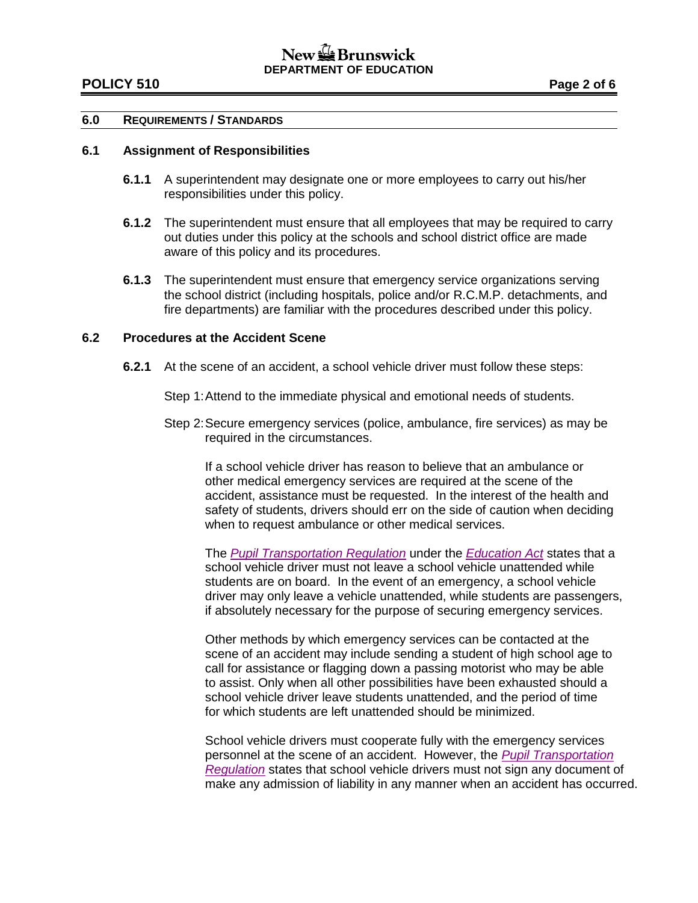# New  $\mathbb{Z}$  Brunswick **DEPARTMENT OF EDUCATION**

### **POLICY 510 Page 2 of 6**

#### **6.0 REQUIREMENTS / STANDARDS**

#### **6.1 Assignment of Responsibilities**

- **6.1.1** A superintendent may designate one or more employees to carry out his/her responsibilities under this policy.
- **6.1.2** The superintendent must ensure that all employees that may be required to carry out duties under this policy at the schools and school district office are made aware of this policy and its procedures.
- **6.1.3** The superintendent must ensure that emergency service organizations serving the school district (including hospitals, police and/or R.C.M.P. detachments, and fire departments) are familiar with the procedures described under this policy.

### **6.2 Procedures at the Accident Scene**

- **6.2.1** At the scene of an accident, a school vehicle driver must follow these steps:
	- Step 1:Attend to the immediate physical and emotional needs of students.
	- Step 2:Secure emergency services (police, ambulance, fire services) as may be required in the circumstances.

If a school vehicle driver has reason to believe that an ambulance or other medical emergency services are required at the scene of the accident, assistance must be requested. In the interest of the health and safety of students, drivers should err on the side of caution when deciding when to request ambulance or other medical services.

The *[Pupil Transportation Regulation](http://laws.gnb.ca/en/ShowPdf/cr/2001-51.pdf)* under the *[Education Act](http://laws.gnb.ca/en/ShowPdf/cs/E-1.12.pdf)* states that a school vehicle driver must not leave a school vehicle unattended while students are on board. In the event of an emergency, a school vehicle driver may only leave a vehicle unattended, while students are passengers, if absolutely necessary for the purpose of securing emergency services.

Other methods by which emergency services can be contacted at the scene of an accident may include sending a student of high school age to call for assistance or flagging down a passing motorist who may be able to assist. Only when all other possibilities have been exhausted should a school vehicle driver leave students unattended, and the period of time for which students are left unattended should be minimized.

School vehicle drivers must cooperate fully with the emergency services personnel at the scene of an accident. However, the *[Pupil Transportation](http://laws.gnb.ca/en/ShowPdf/cr/2001-51.pdf)  [Regulation](http://laws.gnb.ca/en/ShowPdf/cr/2001-51.pdf)* states that school vehicle drivers must not sign any document of make any admission of liability in any manner when an accident has occurred.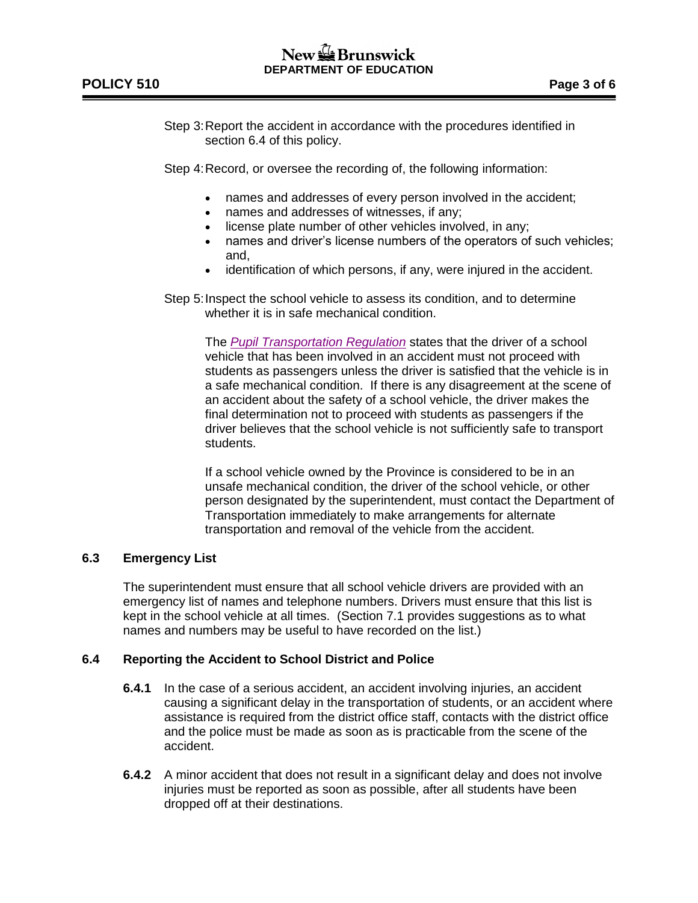Step 3:Report the accident in accordance with the procedures identified in section 6.4 of this policy.

Step 4:Record, or oversee the recording of, the following information:

- names and addresses of every person involved in the accident;
- names and addresses of witnesses, if any;
- license plate number of other vehicles involved, in any;
- names and driver's license numbers of the operators of such vehicles; and,
- identification of which persons, if any, were injured in the accident.
- Step 5: Inspect the school vehicle to assess its condition, and to determine whether it is in safe mechanical condition.

The *[Pupil Transportation Regulation](http://laws.gnb.ca/en/ShowPdf/cr/2001-51.pdf)* states that the driver of a school vehicle that has been involved in an accident must not proceed with students as passengers unless the driver is satisfied that the vehicle is in a safe mechanical condition. If there is any disagreement at the scene of an accident about the safety of a school vehicle, the driver makes the final determination not to proceed with students as passengers if the driver believes that the school vehicle is not sufficiently safe to transport students.

If a school vehicle owned by the Province is considered to be in an unsafe mechanical condition, the driver of the school vehicle, or other person designated by the superintendent, must contact the Department of Transportation immediately to make arrangements for alternate transportation and removal of the vehicle from the accident.

# **6.3 Emergency List**

The superintendent must ensure that all school vehicle drivers are provided with an emergency list of names and telephone numbers. Drivers must ensure that this list is kept in the school vehicle at all times. (Section 7.1 provides suggestions as to what names and numbers may be useful to have recorded on the list.)

# **6.4 Reporting the Accident to School District and Police**

- **6.4.1** In the case of a serious accident, an accident involving injuries, an accident causing a significant delay in the transportation of students, or an accident where assistance is required from the district office staff, contacts with the district office and the police must be made as soon as is practicable from the scene of the accident.
- **6.4.2** A minor accident that does not result in a significant delay and does not involve injuries must be reported as soon as possible, after all students have been dropped off at their destinations.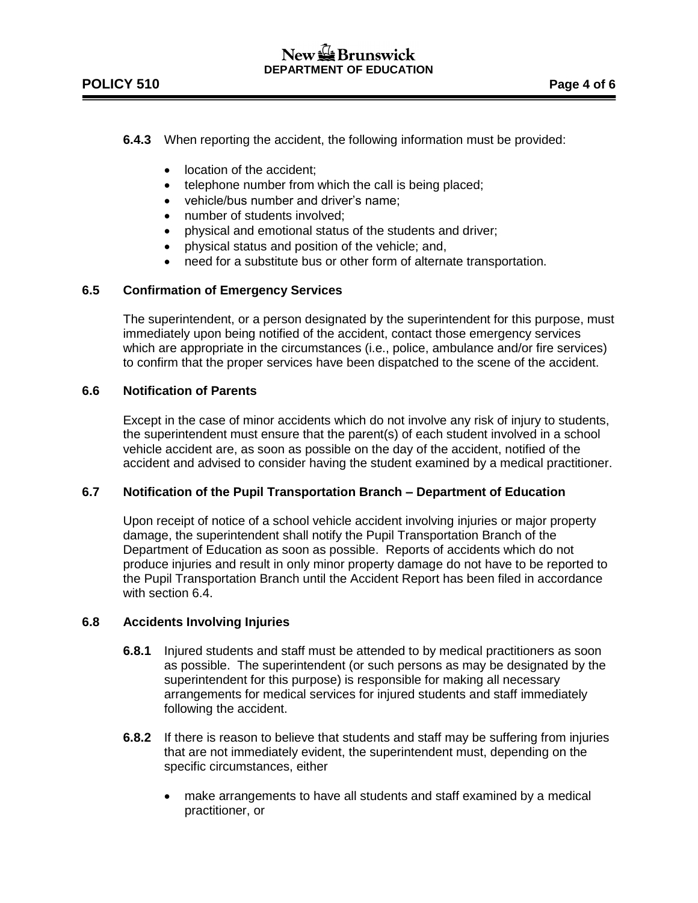# **POLICY 510 Page 4 of 6**

## **6.4.3** When reporting the accident, the following information must be provided:

- location of the accident;
- telephone number from which the call is being placed;
- vehicle/bus number and driver's name;
- number of students involved:
- physical and emotional status of the students and driver;
- physical status and position of the vehicle; and,
- need for a substitute bus or other form of alternate transportation.

### **6.5 Confirmation of Emergency Services**

The superintendent, or a person designated by the superintendent for this purpose, must immediately upon being notified of the accident, contact those emergency services which are appropriate in the circumstances (i.e., police, ambulance and/or fire services) to confirm that the proper services have been dispatched to the scene of the accident.

### **6.6 Notification of Parents**

Except in the case of minor accidents which do not involve any risk of injury to students, the superintendent must ensure that the parent(s) of each student involved in a school vehicle accident are, as soon as possible on the day of the accident, notified of the accident and advised to consider having the student examined by a medical practitioner.

### **6.7 Notification of the Pupil Transportation Branch – Department of Education**

Upon receipt of notice of a school vehicle accident involving injuries or major property damage, the superintendent shall notify the Pupil Transportation Branch of the Department of Education as soon as possible. Reports of accidents which do not produce injuries and result in only minor property damage do not have to be reported to the Pupil Transportation Branch until the Accident Report has been filed in accordance with section 6.4.

### **6.8 Accidents Involving Injuries**

- **6.8.1** Injured students and staff must be attended to by medical practitioners as soon as possible. The superintendent (or such persons as may be designated by the superintendent for this purpose) is responsible for making all necessary arrangements for medical services for injured students and staff immediately following the accident.
- **6.8.2** If there is reason to believe that students and staff may be suffering from injuries that are not immediately evident, the superintendent must, depending on the specific circumstances, either
	- make arrangements to have all students and staff examined by a medical practitioner, or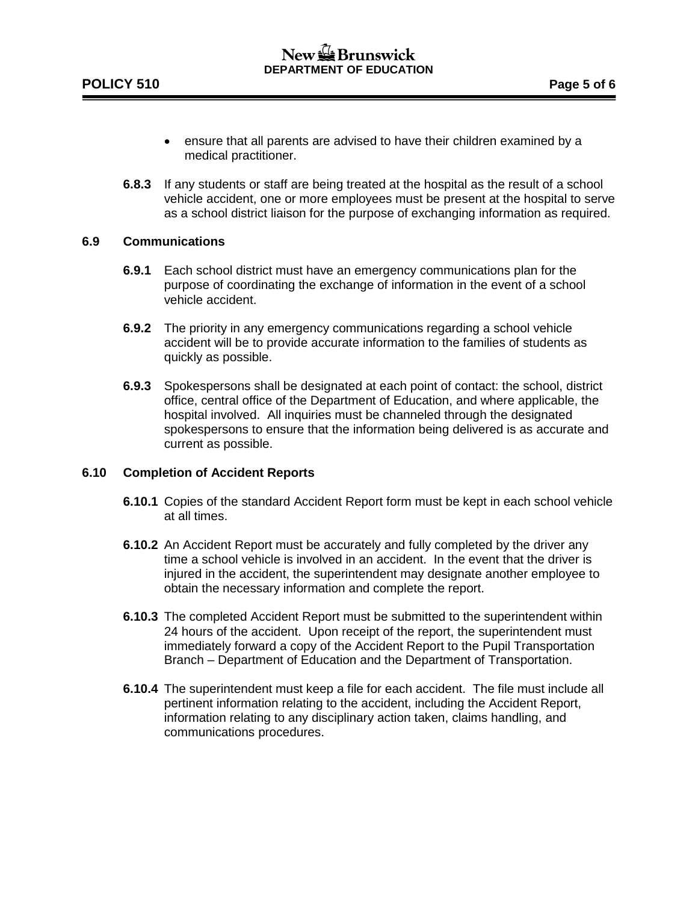- ensure that all parents are advised to have their children examined by a medical practitioner.
- **6.8.3** If any students or staff are being treated at the hospital as the result of a school vehicle accident, one or more employees must be present at the hospital to serve as a school district liaison for the purpose of exchanging information as required.

### **6.9 Communications**

- **6.9.1** Each school district must have an emergency communications plan for the purpose of coordinating the exchange of information in the event of a school vehicle accident.
- **6.9.2** The priority in any emergency communications regarding a school vehicle accident will be to provide accurate information to the families of students as quickly as possible.
- **6.9.3** Spokespersons shall be designated at each point of contact: the school, district office, central office of the Department of Education, and where applicable, the hospital involved. All inquiries must be channeled through the designated spokespersons to ensure that the information being delivered is as accurate and current as possible.

### **6.10 Completion of Accident Reports**

- **6.10.1** Copies of the standard Accident Report form must be kept in each school vehicle at all times.
- **6.10.2** An Accident Report must be accurately and fully completed by the driver any time a school vehicle is involved in an accident. In the event that the driver is injured in the accident, the superintendent may designate another employee to obtain the necessary information and complete the report.
- **6.10.3** The completed Accident Report must be submitted to the superintendent within 24 hours of the accident. Upon receipt of the report, the superintendent must immediately forward a copy of the Accident Report to the Pupil Transportation Branch – Department of Education and the Department of Transportation.
- **6.10.4** The superintendent must keep a file for each accident. The file must include all pertinent information relating to the accident, including the Accident Report, information relating to any disciplinary action taken, claims handling, and communications procedures.